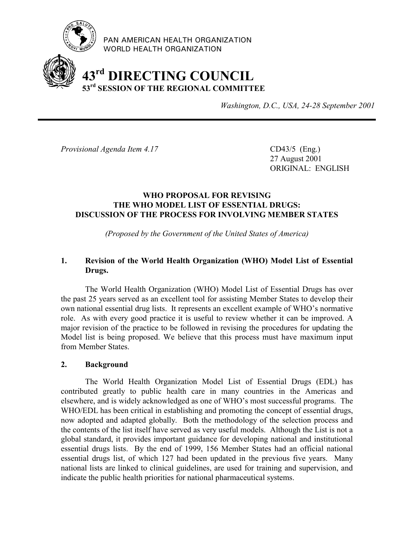

PAN AMERICAN HEALTH ORGANIZATION WORLD HEALTH ORGANIZATION

# **43rd DIRECTING COUNCIL 53rd SESSION OF THE REGIONAL COMMITTEE**

*Washington, D.C., USA, 24-28 September 2001*

*Provisional Agenda Item 4.17* CD43/5 (Eng.)

27 August 2001 ORIGINAL: ENGLISH

# **WHO PROPOSAL FOR REVISING THE WHO MODEL LIST OF ESSENTIAL DRUGS: DISCUSSION OF THE PROCESS FOR INVOLVING MEMBER STATES**

*(Proposed by the Government of the United States of America)*

# **1. Revision of the World Health Organization (WHO) Model List of Essential Drugs.**

The World Health Organization (WHO) Model List of Essential Drugs has over the past 25 years served as an excellent tool for assisting Member States to develop their own national essential drug lists. It represents an excellent example of WHO's normative role. As with every good practice it is useful to review whether it can be improved. A major revision of the practice to be followed in revising the procedures for updating the Model list is being proposed. We believe that this process must have maximum input from Member States.

# **2. Background**

The World Health Organization Model List of Essential Drugs (EDL) has contributed greatly to public health care in many countries in the Americas and elsewhere, and is widely acknowledged as one of WHO's most successful programs. The WHO/EDL has been critical in establishing and promoting the concept of essential drugs, now adopted and adapted globally. Both the methodology of the selection process and the contents of the list itself have served as very useful models. Although the List is not a global standard, it provides important guidance for developing national and institutional essential drugs lists. By the end of 1999, 156 Member States had an official national essential drugs list, of which 127 had been updated in the previous five years. Many national lists are linked to clinical guidelines, are used for training and supervision, and indicate the public health priorities for national pharmaceutical systems.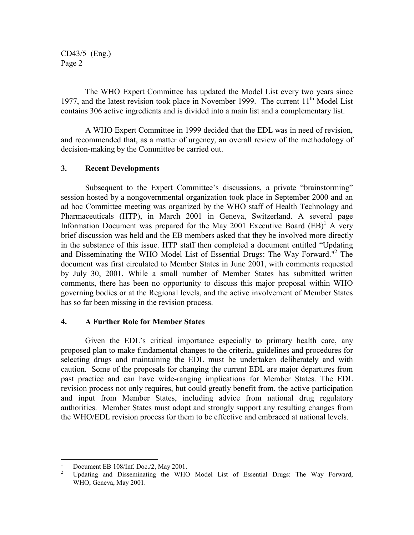CD43/5 (Eng.) Page 2

The WHO Expert Committee has updated the Model List every two years since 1977, and the latest revision took place in November 1999. The current  $11<sup>th</sup>$  Model List contains 306 active ingredients and is divided into a main list and a complementary list.

A WHO Expert Committee in 1999 decided that the EDL was in need of revision, and recommended that, as a matter of urgency, an overall review of the methodology of decision-making by the Committee be carried out.

## **3. Recent Developments**

Subsequent to the Expert Committee's discussions, a private "brainstorming" session hosted by a nongovernmental organization took place in September 2000 and an ad hoc Committee meeting was organized by the WHO staff of Health Technology and Pharmaceuticals (HTP), in March 2001 in Geneva, Switzerland. A several page Information Document was prepared for the May 2001 Executive Board  $(BB)^{1}$  A very brief discussion was held and the EB members asked that they be involved more directly in the substance of this issue. HTP staff then completed a document entitled "Updating and Disseminating the WHO Model List of Essential Drugs: The Way Forward."<sup>2</sup> The document was first circulated to Member States in June 2001, with comments requested by July 30, 2001. While a small number of Member States has submitted written comments, there has been no opportunity to discuss this major proposal within WHO governing bodies or at the Regional levels, and the active involvement of Member States has so far been missing in the revision process.

# **4. A Further Role for Member States**

Given the EDL's critical importance especially to primary health care, any proposed plan to make fundamental changes to the criteria, guidelines and procedures for selecting drugs and maintaining the EDL must be undertaken deliberately and with caution. Some of the proposals for changing the current EDL are major departures from past practice and can have wide-ranging implications for Member States. The EDL revision process not only requires, but could greatly benefit from, the active participation and input from Member States, including advice from national drug regulatory authorities. Member States must adopt and strongly support any resulting changes from the WHO/EDL revision process for them to be effective and embraced at national levels.

 $\overline{a}$ 

<sup>1</sup> Document EB 108/Inf. Doc./2, May 2001.

<sup>2</sup> Updating and Disseminating the WHO Model List of Essential Drugs: The Way Forward, WHO, Geneva, May 2001.